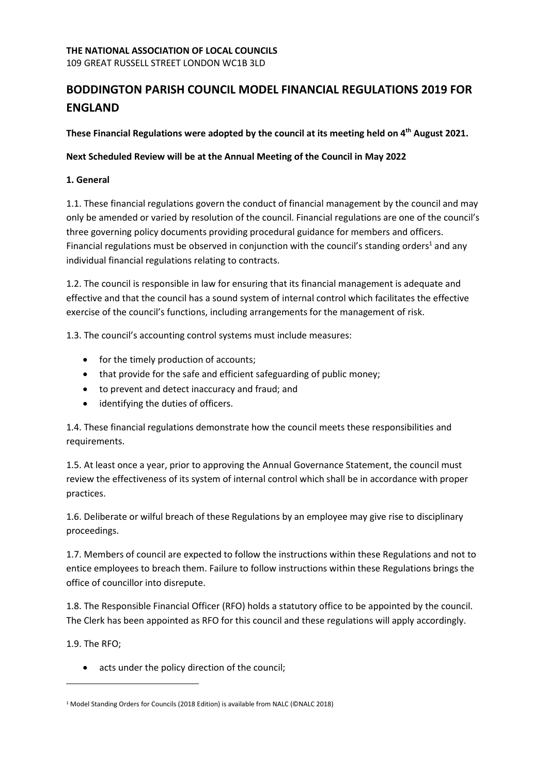109 GREAT RUSSELL STREET LONDON WC1B 3LD

# BODDINGTON PARISH COUNCIL MODEL FINANCIAL REGULATIONS 2019 FOR ENGLAND

These Financial Regulations were adopted by the council at its meeting held on 4<sup>th</sup> August 2021.

Next Scheduled Review will be at the Annual Meeting of the Council in May 2022

### 1. General

1.1. These financial regulations govern the conduct of financial management by the council and may only be amended or varied by resolution of the council. Financial regulations are one of the council's three governing policy documents providing procedural guidance for members and officers. Financial regulations must be observed in conjunction with the council's standing orders<sup>1</sup> and any individual financial regulations relating to contracts.

1.2. The council is responsible in law for ensuring that its financial management is adequate and effective and that the council has a sound system of internal control which facilitates the effective exercise of the council's functions, including arrangements for the management of risk.

1.3. The council's accounting control systems must include measures:

- for the timely production of accounts;
- that provide for the safe and efficient safeguarding of public money;
- to prevent and detect inaccuracy and fraud; and
- identifying the duties of officers.

1.4. These financial regulations demonstrate how the council meets these responsibilities and requirements.

1.5. At least once a year, prior to approving the Annual Governance Statement, the council must review the effectiveness of its system of internal control which shall be in accordance with proper practices.

1.6. Deliberate or wilful breach of these Regulations by an employee may give rise to disciplinary proceedings.

1.7. Members of council are expected to follow the instructions within these Regulations and not to entice employees to breach them. Failure to follow instructions within these Regulations brings the office of councillor into disrepute.

1.8. The Responsible Financial Officer (RFO) holds a statutory office to be appointed by the council. The Clerk has been appointed as RFO for this council and these regulations will apply accordingly.

1.9. The RFO;

• acts under the policy direction of the council;

<sup>&</sup>lt;sup>1</sup> Model Standing Orders for Councils (2018 Edition) is available from NALC (©NALC 2018)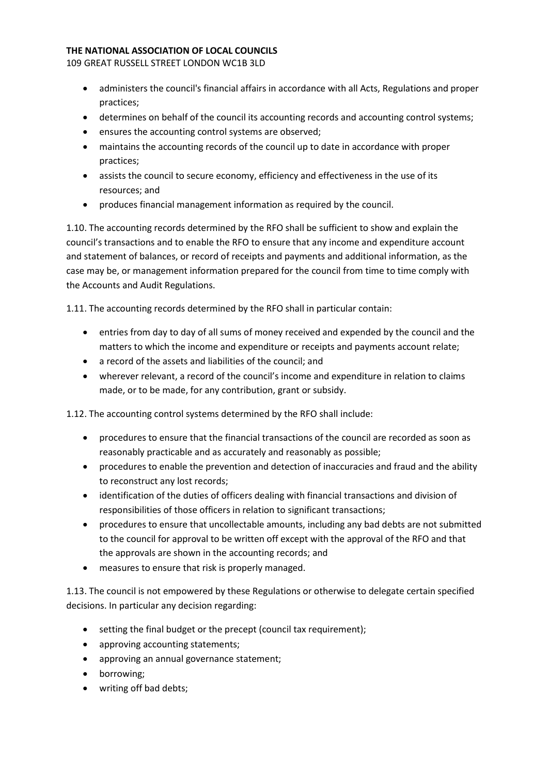109 GREAT RUSSELL STREET LONDON WC1B 3LD

- administers the council's financial affairs in accordance with all Acts, Regulations and proper practices;
- determines on behalf of the council its accounting records and accounting control systems;
- ensures the accounting control systems are observed;
- maintains the accounting records of the council up to date in accordance with proper practices;
- assists the council to secure economy, efficiency and effectiveness in the use of its resources; and
- produces financial management information as required by the council.

1.10. The accounting records determined by the RFO shall be sufficient to show and explain the council's transactions and to enable the RFO to ensure that any income and expenditure account and statement of balances, or record of receipts and payments and additional information, as the case may be, or management information prepared for the council from time to time comply with the Accounts and Audit Regulations.

1.11. The accounting records determined by the RFO shall in particular contain:

- entries from day to day of all sums of money received and expended by the council and the matters to which the income and expenditure or receipts and payments account relate;
- a record of the assets and liabilities of the council; and
- wherever relevant, a record of the council's income and expenditure in relation to claims made, or to be made, for any contribution, grant or subsidy.

1.12. The accounting control systems determined by the RFO shall include:

- procedures to ensure that the financial transactions of the council are recorded as soon as reasonably practicable and as accurately and reasonably as possible;
- procedures to enable the prevention and detection of inaccuracies and fraud and the ability to reconstruct any lost records;
- identification of the duties of officers dealing with financial transactions and division of responsibilities of those officers in relation to significant transactions;
- procedures to ensure that uncollectable amounts, including any bad debts are not submitted to the council for approval to be written off except with the approval of the RFO and that the approvals are shown in the accounting records; and
- measures to ensure that risk is properly managed.

1.13. The council is not empowered by these Regulations or otherwise to delegate certain specified decisions. In particular any decision regarding:

- setting the final budget or the precept (council tax requirement);
- approving accounting statements;
- approving an annual governance statement;
- borrowing;
- writing off bad debts;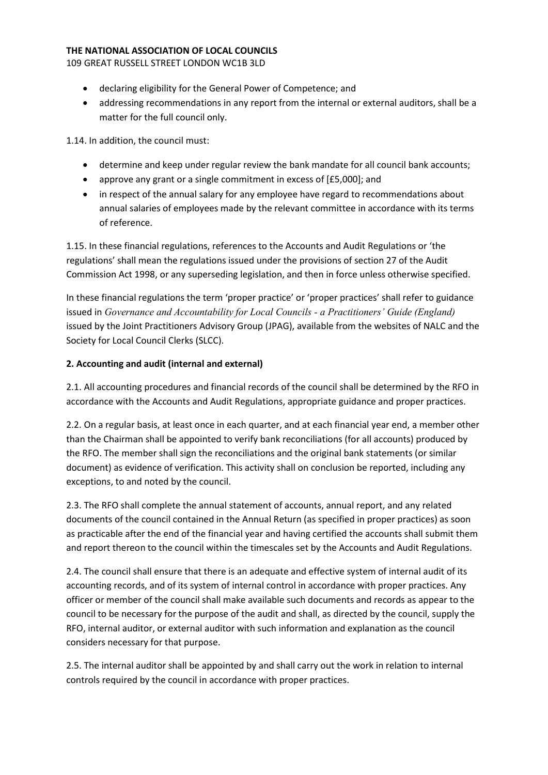109 GREAT RUSSELL STREET LONDON WC1B 3LD

- declaring eligibility for the General Power of Competence; and
- addressing recommendations in any report from the internal or external auditors, shall be a matter for the full council only.

1.14. In addition, the council must:

- determine and keep under regular review the bank mandate for all council bank accounts;
- approve any grant or a single commitment in excess of [£5,000]; and
- in respect of the annual salary for any employee have regard to recommendations about annual salaries of employees made by the relevant committee in accordance with its terms of reference.

1.15. In these financial regulations, references to the Accounts and Audit Regulations or 'the regulations' shall mean the regulations issued under the provisions of section 27 of the Audit Commission Act 1998, or any superseding legislation, and then in force unless otherwise specified.

In these financial regulations the term 'proper practice' or 'proper practices' shall refer to guidance issued in Governance and Accountability for Local Councils - a Practitioners' Guide (England) issued by the Joint Practitioners Advisory Group (JPAG), available from the websites of NALC and the Society for Local Council Clerks (SLCC).

# 2. Accounting and audit (internal and external)

2.1. All accounting procedures and financial records of the council shall be determined by the RFO in accordance with the Accounts and Audit Regulations, appropriate guidance and proper practices.

2.2. On a regular basis, at least once in each quarter, and at each financial year end, a member other than the Chairman shall be appointed to verify bank reconciliations (for all accounts) produced by the RFO. The member shall sign the reconciliations and the original bank statements (or similar document) as evidence of verification. This activity shall on conclusion be reported, including any exceptions, to and noted by the council.

2.3. The RFO shall complete the annual statement of accounts, annual report, and any related documents of the council contained in the Annual Return (as specified in proper practices) as soon as practicable after the end of the financial year and having certified the accounts shall submit them and report thereon to the council within the timescales set by the Accounts and Audit Regulations.

2.4. The council shall ensure that there is an adequate and effective system of internal audit of its accounting records, and of its system of internal control in accordance with proper practices. Any officer or member of the council shall make available such documents and records as appear to the council to be necessary for the purpose of the audit and shall, as directed by the council, supply the RFO, internal auditor, or external auditor with such information and explanation as the council considers necessary for that purpose.

2.5. The internal auditor shall be appointed by and shall carry out the work in relation to internal controls required by the council in accordance with proper practices.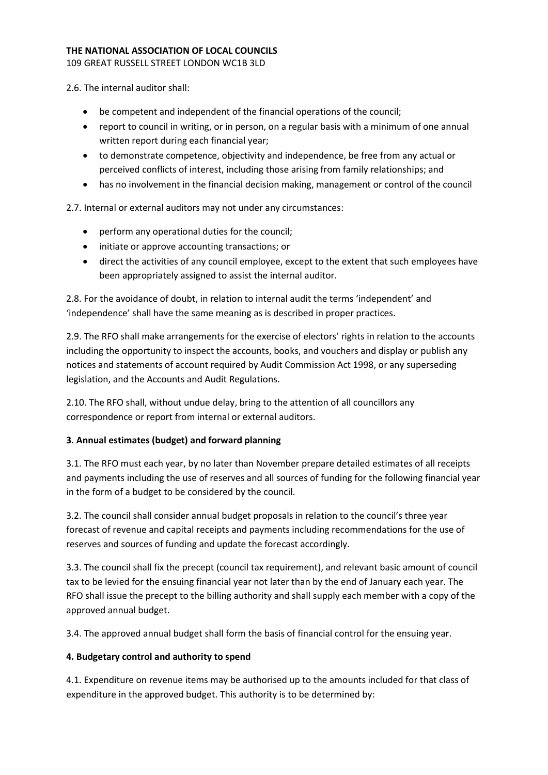109 GREAT RUSSELL STREET LONDON WC1B 3LD

2.6. The internal auditor shall:

- be competent and independent of the financial operations of the council;
- report to council in writing, or in person, on a regular basis with a minimum of one annual written report during each financial year;
- to demonstrate competence, objectivity and independence, be free from any actual or perceived conflicts of interest, including those arising from family relationships; and
- has no involvement in the financial decision making, management or control of the council

2.7. Internal or external auditors may not under any circumstances:

- perform any operational duties for the council;
- initiate or approve accounting transactions; or
- direct the activities of any council employee, except to the extent that such employees have been appropriately assigned to assist the internal auditor.

2.8. For the avoidance of doubt, in relation to internal audit the terms 'independent' and 'independence' shall have the same meaning as is described in proper practices.

2.9. The RFO shall make arrangements for the exercise of electors' rights in relation to the accounts including the opportunity to inspect the accounts, books, and vouchers and display or publish any notices and statements of account required by Audit Commission Act 1998, or any superseding legislation, and the Accounts and Audit Regulations.

2.10. The RFO shall, without undue delay, bring to the attention of all councillors any correspondence or report from internal or external auditors.

# 3. Annual estimates (budget) and forward planning

3.1. The RFO must each year, by no later than November prepare detailed estimates of all receipts and payments including the use of reserves and all sources of funding for the following financial year in the form of a budget to be considered by the council.

3.2. The council shall consider annual budget proposals in relation to the council's three year forecast of revenue and capital receipts and payments including recommendations for the use of reserves and sources of funding and update the forecast accordingly.

3.3. The council shall fix the precept (council tax requirement), and relevant basic amount of council tax to be levied for the ensuing financial year not later than by the end of January each year. The RFO shall issue the precept to the billing authority and shall supply each member with a copy of the approved annual budget.

3.4. The approved annual budget shall form the basis of financial control for the ensuing year.

# 4. Budgetary control and authority to spend

4.1. Expenditure on revenue items may be authorised up to the amounts included for that class of expenditure in the approved budget. This authority is to be determined by: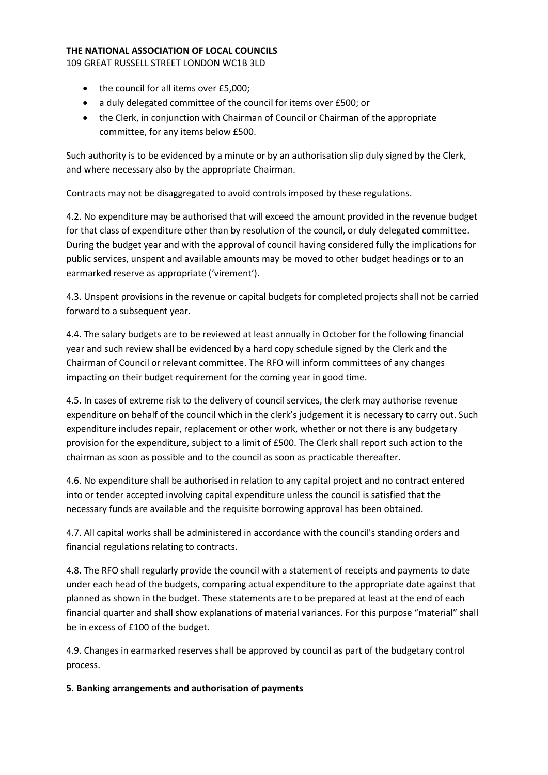109 GREAT RUSSELL STREET LONDON WC1B 3LD

- the council for all items over £5,000;
- a duly delegated committee of the council for items over £500; or
- the Clerk, in conjunction with Chairman of Council or Chairman of the appropriate committee, for any items below £500.

Such authority is to be evidenced by a minute or by an authorisation slip duly signed by the Clerk, and where necessary also by the appropriate Chairman.

Contracts may not be disaggregated to avoid controls imposed by these regulations.

4.2. No expenditure may be authorised that will exceed the amount provided in the revenue budget for that class of expenditure other than by resolution of the council, or duly delegated committee. During the budget year and with the approval of council having considered fully the implications for public services, unspent and available amounts may be moved to other budget headings or to an earmarked reserve as appropriate ('virement').

4.3. Unspent provisions in the revenue or capital budgets for completed projects shall not be carried forward to a subsequent year.

4.4. The salary budgets are to be reviewed at least annually in October for the following financial year and such review shall be evidenced by a hard copy schedule signed by the Clerk and the Chairman of Council or relevant committee. The RFO will inform committees of any changes impacting on their budget requirement for the coming year in good time.

4.5. In cases of extreme risk to the delivery of council services, the clerk may authorise revenue expenditure on behalf of the council which in the clerk's judgement it is necessary to carry out. Such expenditure includes repair, replacement or other work, whether or not there is any budgetary provision for the expenditure, subject to a limit of £500. The Clerk shall report such action to the chairman as soon as possible and to the council as soon as practicable thereafter.

4.6. No expenditure shall be authorised in relation to any capital project and no contract entered into or tender accepted involving capital expenditure unless the council is satisfied that the necessary funds are available and the requisite borrowing approval has been obtained.

4.7. All capital works shall be administered in accordance with the council's standing orders and financial regulations relating to contracts.

4.8. The RFO shall regularly provide the council with a statement of receipts and payments to date under each head of the budgets, comparing actual expenditure to the appropriate date against that planned as shown in the budget. These statements are to be prepared at least at the end of each financial quarter and shall show explanations of material variances. For this purpose "material" shall be in excess of £100 of the budget.

4.9. Changes in earmarked reserves shall be approved by council as part of the budgetary control process.

5. Banking arrangements and authorisation of payments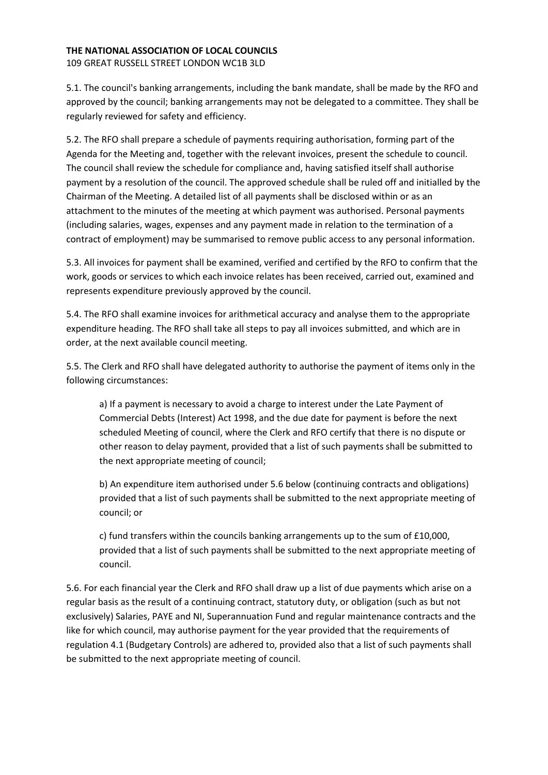#### THE NATIONAL ASSOCIATION OF LOCAL COUNCILS 109 GREAT RUSSELL STREET LONDON WC1B 3LD

5.1. The council's banking arrangements, including the bank mandate, shall be made by the RFO and approved by the council; banking arrangements may not be delegated to a committee. They shall be regularly reviewed for safety and efficiency.

5.2. The RFO shall prepare a schedule of payments requiring authorisation, forming part of the Agenda for the Meeting and, together with the relevant invoices, present the schedule to council. The council shall review the schedule for compliance and, having satisfied itself shall authorise payment by a resolution of the council. The approved schedule shall be ruled off and initialled by the Chairman of the Meeting. A detailed list of all payments shall be disclosed within or as an attachment to the minutes of the meeting at which payment was authorised. Personal payments (including salaries, wages, expenses and any payment made in relation to the termination of a contract of employment) may be summarised to remove public access to any personal information.

5.3. All invoices for payment shall be examined, verified and certified by the RFO to confirm that the work, goods or services to which each invoice relates has been received, carried out, examined and represents expenditure previously approved by the council.

5.4. The RFO shall examine invoices for arithmetical accuracy and analyse them to the appropriate expenditure heading. The RFO shall take all steps to pay all invoices submitted, and which are in order, at the next available council meeting.

5.5. The Clerk and RFO shall have delegated authority to authorise the payment of items only in the following circumstances:

a) If a payment is necessary to avoid a charge to interest under the Late Payment of Commercial Debts (Interest) Act 1998, and the due date for payment is before the next scheduled Meeting of council, where the Clerk and RFO certify that there is no dispute or other reason to delay payment, provided that a list of such payments shall be submitted to the next appropriate meeting of council;

b) An expenditure item authorised under 5.6 below (continuing contracts and obligations) provided that a list of such payments shall be submitted to the next appropriate meeting of council; or

c) fund transfers within the councils banking arrangements up to the sum of £10,000, provided that a list of such payments shall be submitted to the next appropriate meeting of council.

5.6. For each financial year the Clerk and RFO shall draw up a list of due payments which arise on a regular basis as the result of a continuing contract, statutory duty, or obligation (such as but not exclusively) Salaries, PAYE and NI, Superannuation Fund and regular maintenance contracts and the like for which council, may authorise payment for the year provided that the requirements of regulation 4.1 (Budgetary Controls) are adhered to, provided also that a list of such payments shall be submitted to the next appropriate meeting of council.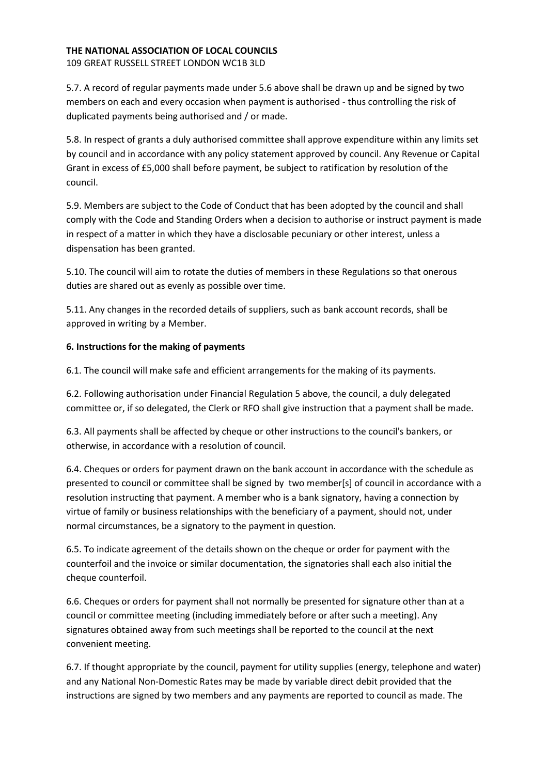109 GREAT RUSSELL STREET LONDON WC1B 3LD

5.7. A record of regular payments made under 5.6 above shall be drawn up and be signed by two members on each and every occasion when payment is authorised - thus controlling the risk of duplicated payments being authorised and / or made.

5.8. In respect of grants a duly authorised committee shall approve expenditure within any limits set by council and in accordance with any policy statement approved by council. Any Revenue or Capital Grant in excess of £5,000 shall before payment, be subject to ratification by resolution of the council.

5.9. Members are subject to the Code of Conduct that has been adopted by the council and shall comply with the Code and Standing Orders when a decision to authorise or instruct payment is made in respect of a matter in which they have a disclosable pecuniary or other interest, unless a dispensation has been granted.

5.10. The council will aim to rotate the duties of members in these Regulations so that onerous duties are shared out as evenly as possible over time.

5.11. Any changes in the recorded details of suppliers, such as bank account records, shall be approved in writing by a Member.

# 6. Instructions for the making of payments

6.1. The council will make safe and efficient arrangements for the making of its payments.

6.2. Following authorisation under Financial Regulation 5 above, the council, a duly delegated committee or, if so delegated, the Clerk or RFO shall give instruction that a payment shall be made.

6.3. All payments shall be affected by cheque or other instructions to the council's bankers, or otherwise, in accordance with a resolution of council.

6.4. Cheques or orders for payment drawn on the bank account in accordance with the schedule as presented to council or committee shall be signed by two member[s] of council in accordance with a resolution instructing that payment. A member who is a bank signatory, having a connection by virtue of family or business relationships with the beneficiary of a payment, should not, under normal circumstances, be a signatory to the payment in question.

6.5. To indicate agreement of the details shown on the cheque or order for payment with the counterfoil and the invoice or similar documentation, the signatories shall each also initial the cheque counterfoil.

6.6. Cheques or orders for payment shall not normally be presented for signature other than at a council or committee meeting (including immediately before or after such a meeting). Any signatures obtained away from such meetings shall be reported to the council at the next convenient meeting.

6.7. If thought appropriate by the council, payment for utility supplies (energy, telephone and water) and any National Non-Domestic Rates may be made by variable direct debit provided that the instructions are signed by two members and any payments are reported to council as made. The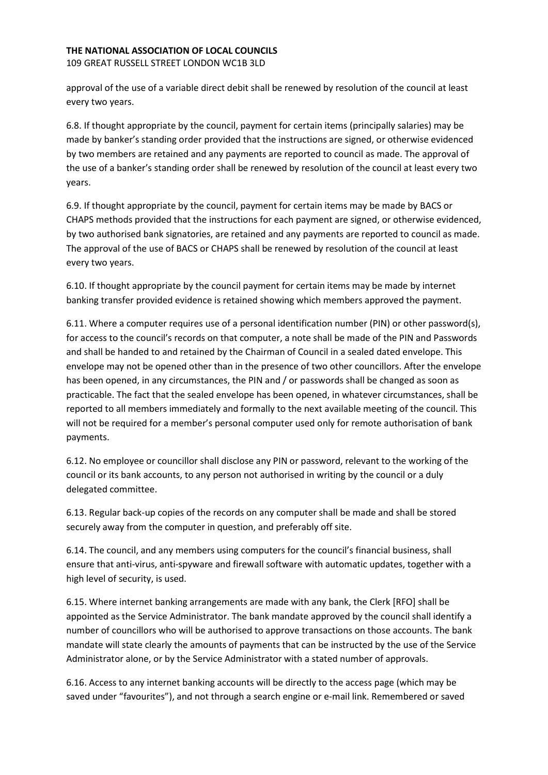109 GREAT RUSSELL STREET LONDON WC1B 3LD

approval of the use of a variable direct debit shall be renewed by resolution of the council at least every two years.

6.8. If thought appropriate by the council, payment for certain items (principally salaries) may be made by banker's standing order provided that the instructions are signed, or otherwise evidenced by two members are retained and any payments are reported to council as made. The approval of the use of a banker's standing order shall be renewed by resolution of the council at least every two years.

6.9. If thought appropriate by the council, payment for certain items may be made by BACS or CHAPS methods provided that the instructions for each payment are signed, or otherwise evidenced, by two authorised bank signatories, are retained and any payments are reported to council as made. The approval of the use of BACS or CHAPS shall be renewed by resolution of the council at least every two years.

6.10. If thought appropriate by the council payment for certain items may be made by internet banking transfer provided evidence is retained showing which members approved the payment.

6.11. Where a computer requires use of a personal identification number (PIN) or other password(s), for access to the council's records on that computer, a note shall be made of the PIN and Passwords and shall be handed to and retained by the Chairman of Council in a sealed dated envelope. This envelope may not be opened other than in the presence of two other councillors. After the envelope has been opened, in any circumstances, the PIN and / or passwords shall be changed as soon as practicable. The fact that the sealed envelope has been opened, in whatever circumstances, shall be reported to all members immediately and formally to the next available meeting of the council. This will not be required for a member's personal computer used only for remote authorisation of bank payments.

6.12. No employee or councillor shall disclose any PIN or password, relevant to the working of the council or its bank accounts, to any person not authorised in writing by the council or a duly delegated committee.

6.13. Regular back-up copies of the records on any computer shall be made and shall be stored securely away from the computer in question, and preferably off site.

6.14. The council, and any members using computers for the council's financial business, shall ensure that anti-virus, anti-spyware and firewall software with automatic updates, together with a high level of security, is used.

6.15. Where internet banking arrangements are made with any bank, the Clerk [RFO] shall be appointed as the Service Administrator. The bank mandate approved by the council shall identify a number of councillors who will be authorised to approve transactions on those accounts. The bank mandate will state clearly the amounts of payments that can be instructed by the use of the Service Administrator alone, or by the Service Administrator with a stated number of approvals.

6.16. Access to any internet banking accounts will be directly to the access page (which may be saved under "favourites"), and not through a search engine or e-mail link. Remembered or saved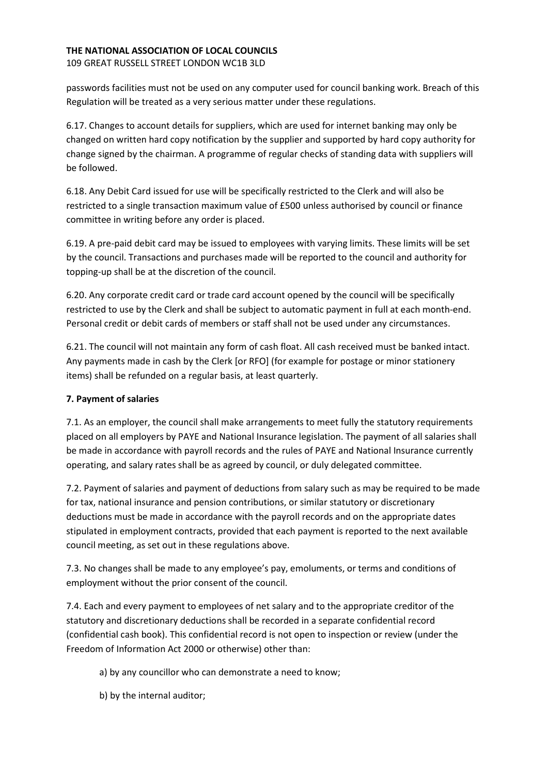109 GREAT RUSSELL STREET LONDON WC1B 3LD

passwords facilities must not be used on any computer used for council banking work. Breach of this Regulation will be treated as a very serious matter under these regulations.

6.17. Changes to account details for suppliers, which are used for internet banking may only be changed on written hard copy notification by the supplier and supported by hard copy authority for change signed by the chairman. A programme of regular checks of standing data with suppliers will be followed.

6.18. Any Debit Card issued for use will be specifically restricted to the Clerk and will also be restricted to a single transaction maximum value of £500 unless authorised by council or finance committee in writing before any order is placed.

6.19. A pre-paid debit card may be issued to employees with varying limits. These limits will be set by the council. Transactions and purchases made will be reported to the council and authority for topping-up shall be at the discretion of the council.

6.20. Any corporate credit card or trade card account opened by the council will be specifically restricted to use by the Clerk and shall be subject to automatic payment in full at each month-end. Personal credit or debit cards of members or staff shall not be used under any circumstances.

6.21. The council will not maintain any form of cash float. All cash received must be banked intact. Any payments made in cash by the Clerk [or RFO] (for example for postage or minor stationery items) shall be refunded on a regular basis, at least quarterly.

# 7. Payment of salaries

7.1. As an employer, the council shall make arrangements to meet fully the statutory requirements placed on all employers by PAYE and National Insurance legislation. The payment of all salaries shall be made in accordance with payroll records and the rules of PAYE and National Insurance currently operating, and salary rates shall be as agreed by council, or duly delegated committee.

7.2. Payment of salaries and payment of deductions from salary such as may be required to be made for tax, national insurance and pension contributions, or similar statutory or discretionary deductions must be made in accordance with the payroll records and on the appropriate dates stipulated in employment contracts, provided that each payment is reported to the next available council meeting, as set out in these regulations above.

7.3. No changes shall be made to any employee's pay, emoluments, or terms and conditions of employment without the prior consent of the council.

7.4. Each and every payment to employees of net salary and to the appropriate creditor of the statutory and discretionary deductions shall be recorded in a separate confidential record (confidential cash book). This confidential record is not open to inspection or review (under the Freedom of Information Act 2000 or otherwise) other than:

a) by any councillor who can demonstrate a need to know;

b) by the internal auditor;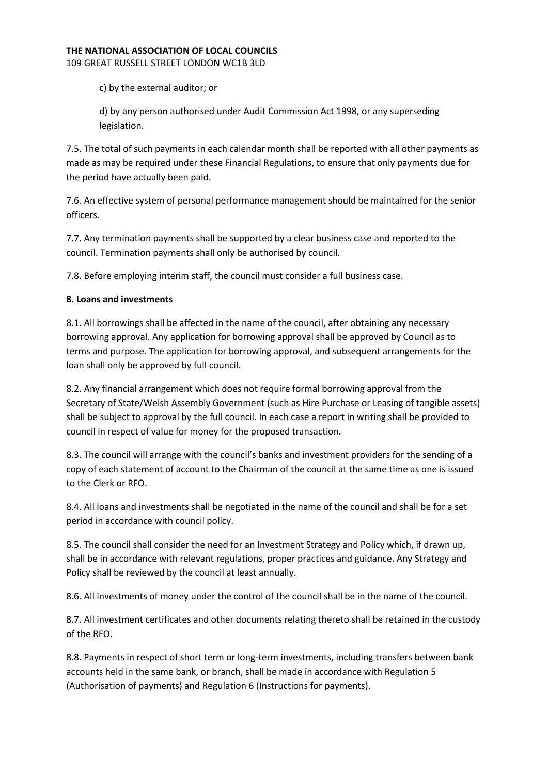109 GREAT RUSSELL STREET LONDON WC1B 3LD

c) by the external auditor; or

d) by any person authorised under Audit Commission Act 1998, or any superseding legislation.

7.5. The total of such payments in each calendar month shall be reported with all other payments as made as may be required under these Financial Regulations, to ensure that only payments due for the period have actually been paid.

7.6. An effective system of personal performance management should be maintained for the senior officers.

7.7. Any termination payments shall be supported by a clear business case and reported to the council. Termination payments shall only be authorised by council.

7.8. Before employing interim staff, the council must consider a full business case.

# 8. Loans and investments

8.1. All borrowings shall be affected in the name of the council, after obtaining any necessary borrowing approval. Any application for borrowing approval shall be approved by Council as to terms and purpose. The application for borrowing approval, and subsequent arrangements for the loan shall only be approved by full council.

8.2. Any financial arrangement which does not require formal borrowing approval from the Secretary of State/Welsh Assembly Government (such as Hire Purchase or Leasing of tangible assets) shall be subject to approval by the full council. In each case a report in writing shall be provided to council in respect of value for money for the proposed transaction.

8.3. The council will arrange with the council's banks and investment providers for the sending of a copy of each statement of account to the Chairman of the council at the same time as one is issued to the Clerk or RFO.

8.4. All loans and investments shall be negotiated in the name of the council and shall be for a set period in accordance with council policy.

8.5. The council shall consider the need for an Investment Strategy and Policy which, if drawn up, shall be in accordance with relevant regulations, proper practices and guidance. Any Strategy and Policy shall be reviewed by the council at least annually.

8.6. All investments of money under the control of the council shall be in the name of the council.

8.7. All investment certificates and other documents relating thereto shall be retained in the custody of the RFO.

8.8. Payments in respect of short term or long-term investments, including transfers between bank accounts held in the same bank, or branch, shall be made in accordance with Regulation 5 (Authorisation of payments) and Regulation 6 (Instructions for payments).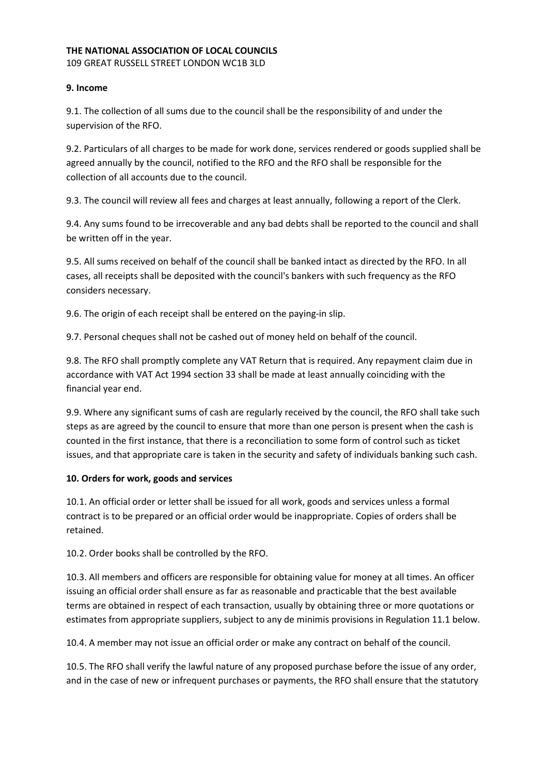109 GREAT RUSSELL STREET LONDON WC1B 3LD

### 9. Income

9.1. The collection of all sums due to the council shall be the responsibility of and under the supervision of the RFO.

9.2. Particulars of all charges to be made for work done, services rendered or goods supplied shall be agreed annually by the council, notified to the RFO and the RFO shall be responsible for the collection of all accounts due to the council.

9.3. The council will review all fees and charges at least annually, following a report of the Clerk.

9.4. Any sums found to be irrecoverable and any bad debts shall be reported to the council and shall be written off in the year.

9.5. All sums received on behalf of the council shall be banked intact as directed by the RFO. In all cases, all receipts shall be deposited with the council's bankers with such frequency as the RFO considers necessary.

9.6. The origin of each receipt shall be entered on the paying-in slip.

9.7. Personal cheques shall not be cashed out of money held on behalf of the council.

9.8. The RFO shall promptly complete any VAT Return that is required. Any repayment claim due in accordance with VAT Act 1994 section 33 shall be made at least annually coinciding with the financial year end.

9.9. Where any significant sums of cash are regularly received by the council, the RFO shall take such steps as are agreed by the council to ensure that more than one person is present when the cash is counted in the first instance, that there is a reconciliation to some form of control such as ticket issues, and that appropriate care is taken in the security and safety of individuals banking such cash.

### 10. Orders for work, goods and services

10.1. An official order or letter shall be issued for all work, goods and services unless a formal contract is to be prepared or an official order would be inappropriate. Copies of orders shall be retained.

10.2. Order books shall be controlled by the RFO.

10.3. All members and officers are responsible for obtaining value for money at all times. An officer issuing an official order shall ensure as far as reasonable and practicable that the best available terms are obtained in respect of each transaction, usually by obtaining three or more quotations or estimates from appropriate suppliers, subject to any de minimis provisions in Regulation 11.1 below.

10.4. A member may not issue an official order or make any contract on behalf of the council.

10.5. The RFO shall verify the lawful nature of any proposed purchase before the issue of any order, and in the case of new or infrequent purchases or payments, the RFO shall ensure that the statutory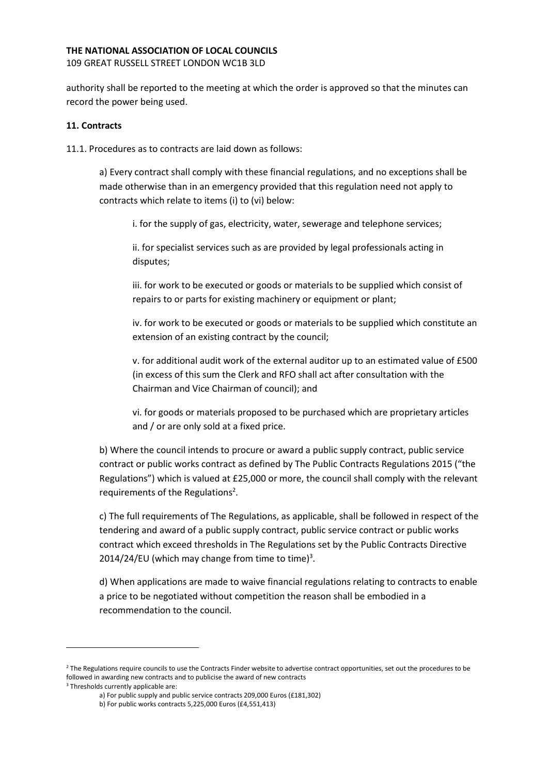109 GREAT RUSSELL STREET LONDON WC1B 3LD

authority shall be reported to the meeting at which the order is approved so that the minutes can record the power being used.

### 11. Contracts

11.1. Procedures as to contracts are laid down as follows:

a) Every contract shall comply with these financial regulations, and no exceptions shall be made otherwise than in an emergency provided that this regulation need not apply to contracts which relate to items (i) to (vi) below:

i. for the supply of gas, electricity, water, sewerage and telephone services;

ii. for specialist services such as are provided by legal professionals acting in disputes;

iii. for work to be executed or goods or materials to be supplied which consist of repairs to or parts for existing machinery or equipment or plant;

iv. for work to be executed or goods or materials to be supplied which constitute an extension of an existing contract by the council;

v. for additional audit work of the external auditor up to an estimated value of £500 (in excess of this sum the Clerk and RFO shall act after consultation with the Chairman and Vice Chairman of council); and

vi. for goods or materials proposed to be purchased which are proprietary articles and / or are only sold at a fixed price.

b) Where the council intends to procure or award a public supply contract, public service contract or public works contract as defined by The Public Contracts Regulations 2015 ("the Regulations") which is valued at £25,000 or more, the council shall comply with the relevant requirements of the Regulations<sup>2</sup>.

c) The full requirements of The Regulations, as applicable, shall be followed in respect of the tendering and award of a public supply contract, public service contract or public works contract which exceed thresholds in The Regulations set by the Public Contracts Directive 2014/24/EU (which may change from time to time) $3$ .

d) When applications are made to waive financial regulations relating to contracts to enable a price to be negotiated without competition the reason shall be embodied in a recommendation to the council.

<sup>&</sup>lt;sup>2</sup> The Regulations require councils to use the Contracts Finder website to advertise contract opportunities, set out the procedures to be followed in awarding new contracts and to publicise the award of new contracts

<sup>3</sup> Thresholds currently applicable are:

a) For public supply and public service contracts 209,000 Euros (£181,302)

b) For public works contracts 5,225,000 Euros (£4,551,413)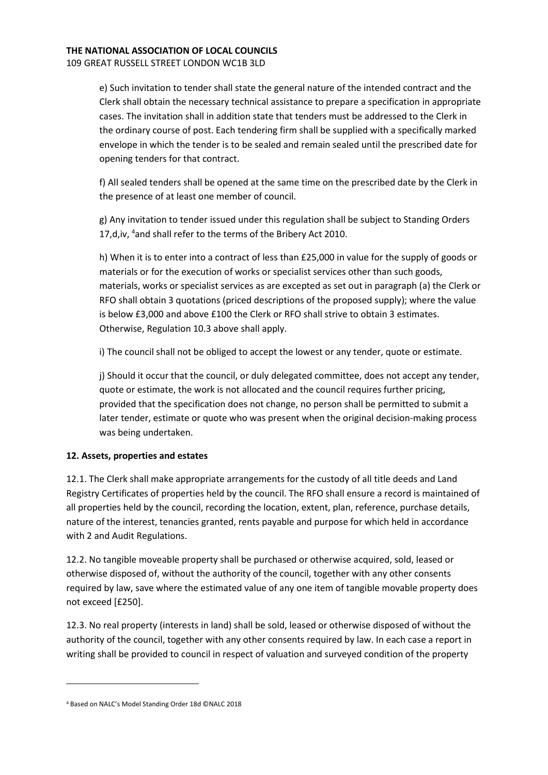#### THE NATIONAL ASSOCIATION OF LOCAL COUNCILS 109 GREAT RUSSELL STREET LONDON WC1B 3LD

e) Such invitation to tender shall state the general nature of the intended contract and the Clerk shall obtain the necessary technical assistance to prepare a specification in appropriate cases. The invitation shall in addition state that tenders must be addressed to the Clerk in the ordinary course of post. Each tendering firm shall be supplied with a specifically marked envelope in which the tender is to be sealed and remain sealed until the prescribed date for opening tenders for that contract.

f) All sealed tenders shall be opened at the same time on the prescribed date by the Clerk in the presence of at least one member of council.

g) Any invitation to tender issued under this regulation shall be subject to Standing Orders 17,d,iv, <sup>4</sup>and shall refer to the terms of the Bribery Act 2010.

h) When it is to enter into a contract of less than £25,000 in value for the supply of goods or materials or for the execution of works or specialist services other than such goods, materials, works or specialist services as are excepted as set out in paragraph (a) the Clerk or RFO shall obtain 3 quotations (priced descriptions of the proposed supply); where the value is below £3,000 and above £100 the Clerk or RFO shall strive to obtain 3 estimates. Otherwise, Regulation 10.3 above shall apply.

i) The council shall not be obliged to accept the lowest or any tender, quote or estimate.

j) Should it occur that the council, or duly delegated committee, does not accept any tender, quote or estimate, the work is not allocated and the council requires further pricing, provided that the specification does not change, no person shall be permitted to submit a later tender, estimate or quote who was present when the original decision-making process was being undertaken.

# 12. Assets, properties and estates

12.1. The Clerk shall make appropriate arrangements for the custody of all title deeds and Land Registry Certificates of properties held by the council. The RFO shall ensure a record is maintained of all properties held by the council, recording the location, extent, plan, reference, purchase details, nature of the interest, tenancies granted, rents payable and purpose for which held in accordance with 2 and Audit Regulations.

12.2. No tangible moveable property shall be purchased or otherwise acquired, sold, leased or otherwise disposed of, without the authority of the council, together with any other consents required by law, save where the estimated value of any one item of tangible movable property does not exceed [£250].

12.3. No real property (interests in land) shall be sold, leased or otherwise disposed of without the authority of the council, together with any other consents required by law. In each case a report in writing shall be provided to council in respect of valuation and surveyed condition of the property

<sup>4</sup> Based on NALC's Model Standing Order 18d ©NALC 2018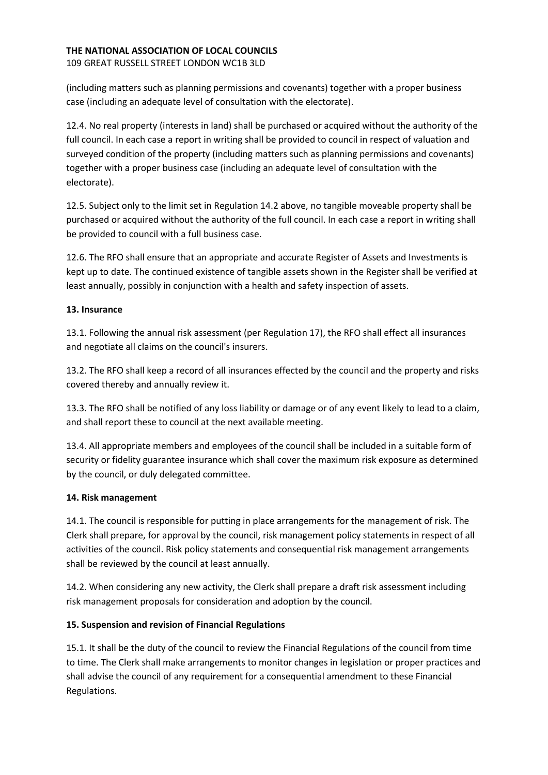109 GREAT RUSSELL STREET LONDON WC1B 3LD

(including matters such as planning permissions and covenants) together with a proper business case (including an adequate level of consultation with the electorate).

12.4. No real property (interests in land) shall be purchased or acquired without the authority of the full council. In each case a report in writing shall be provided to council in respect of valuation and surveyed condition of the property (including matters such as planning permissions and covenants) together with a proper business case (including an adequate level of consultation with the electorate).

12.5. Subject only to the limit set in Regulation 14.2 above, no tangible moveable property shall be purchased or acquired without the authority of the full council. In each case a report in writing shall be provided to council with a full business case.

12.6. The RFO shall ensure that an appropriate and accurate Register of Assets and Investments is kept up to date. The continued existence of tangible assets shown in the Register shall be verified at least annually, possibly in conjunction with a health and safety inspection of assets.

### 13. Insurance

13.1. Following the annual risk assessment (per Regulation 17), the RFO shall effect all insurances and negotiate all claims on the council's insurers.

13.2. The RFO shall keep a record of all insurances effected by the council and the property and risks covered thereby and annually review it.

13.3. The RFO shall be notified of any loss liability or damage or of any event likely to lead to a claim, and shall report these to council at the next available meeting.

13.4. All appropriate members and employees of the council shall be included in a suitable form of security or fidelity guarantee insurance which shall cover the maximum risk exposure as determined by the council, or duly delegated committee.

### 14. Risk management

14.1. The council is responsible for putting in place arrangements for the management of risk. The Clerk shall prepare, for approval by the council, risk management policy statements in respect of all activities of the council. Risk policy statements and consequential risk management arrangements shall be reviewed by the council at least annually.

14.2. When considering any new activity, the Clerk shall prepare a draft risk assessment including risk management proposals for consideration and adoption by the council.

# 15. Suspension and revision of Financial Regulations

15.1. It shall be the duty of the council to review the Financial Regulations of the council from time to time. The Clerk shall make arrangements to monitor changes in legislation or proper practices and shall advise the council of any requirement for a consequential amendment to these Financial Regulations.